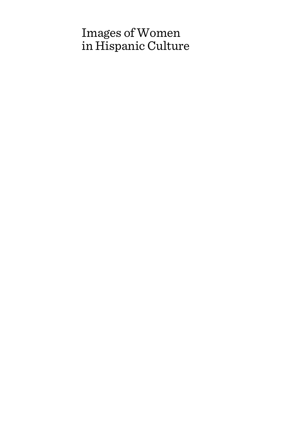# Images of Women in Hispanic Culture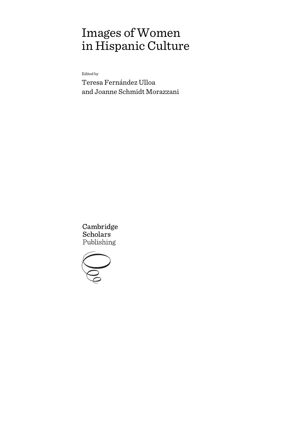# Images of Women in Hispanic Culture

Edited by

Teresa Fernández Ulloa and Joanne Schmidt Morazzani

Cambridge **Scholars** Publishing

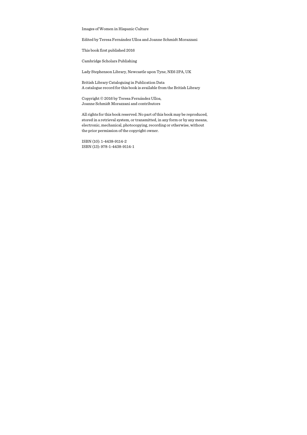Images of Women in Hispanic Culture

Edited by Teresa Fernández Ulloa and Joanne Schmidt Morazzani

This book first published 2016

Cambridge Scholars Publishing

Lady Stephenson Library, Newcastle upon Tyne, NE6 2PA, UK

British Library Cataloguing in Publication Data A catalogue record for this book is available from the British Library

Copyright © 2016 by Teresa Fernández Ulloa, Joanne Schmidt Morazzani and contributors

All rights for this book reserved. No part of this book may be reproduced, stored in a retrieval system, or transmitted, in any form or by any means, electronic, mechanical, photocopying, recording or otherwise, without the prior permission of the copyright owner.

ISBN (10): 1-4438-9114-2 ISBN (13): 978-1-4438-9114-1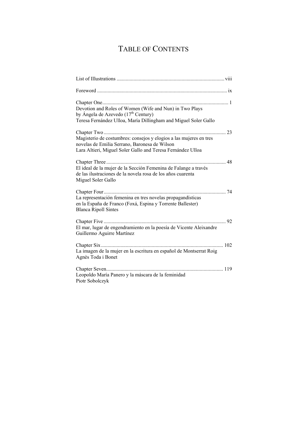# TABLE OF CONTENTS

| Devotion and Roles of Women (Wife and Nun) in Two Plays<br>by Ángela de Azevedo (17 <sup>th</sup> Century)<br>Teresa Fernández Ulloa, María Dillingham and Miguel Soler Gallo      |
|------------------------------------------------------------------------------------------------------------------------------------------------------------------------------------|
|                                                                                                                                                                                    |
| Magisterio de costumbres: consejos y elogios a las mujeres en tres<br>novelas de Emilia Serrano, Baronesa de Wilson<br>Lara Altieri, Miguel Soler Gallo and Teresa Fernández Ulloa |
|                                                                                                                                                                                    |
| El ideal de la mujer de la Sección Femenina de Falange a través<br>de las ilustraciones de la novela rosa de los años cuarenta<br>Miguel Soler Gallo                               |
| La representación femenina en tres novelas propagandísticas<br>en la España de Franco (Foxá, Espina y Torrente Ballester)<br><b>Blanca Ripoll Sintes</b>                           |
| El mar, lugar de engendramiento en la poesía de Vicente Aleixandre<br>Guillermo Aguirre Martínez                                                                                   |
| $\ldots$ 102<br>La imagen de la mujer en la escritura en español de Montserrat Roig<br>Agnès Toda i Bonet                                                                          |
| Leopoldo María Panero y la máscara de la feminidad<br>Piotr Sobolczyk                                                                                                              |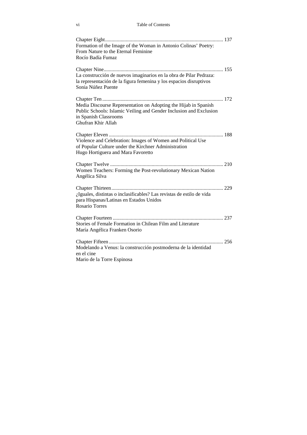vi Table of Contents

| Formation of the Image of the Woman in Antonio Colinas' Poetry:<br>From Nature to the Eternal Feminine                                                                               |  |
|--------------------------------------------------------------------------------------------------------------------------------------------------------------------------------------|--|
| Rocío Badía Fumaz                                                                                                                                                                    |  |
|                                                                                                                                                                                      |  |
| La construcción de nuevos imaginarios en la obra de Pilar Pedraza:<br>la representación de la figura femenina y los espacios disruptivos<br>Sonia Núñez Puente                       |  |
| Media Discourse Representation on Adopting the Hijab in Spanish<br>Public Schools: Islamic Veiling and Gender Inclusion and Exclusion<br>in Spanish Classrooms<br>Ghufran Khir Allah |  |
| Violence and Celebration: Images of Women and Political Use<br>of Popular Culture under the Kirchner Administration<br>Hugo Hortiguera and Mara Favoretto                            |  |
| Women Teachers: Forming the Post-revolutionary Mexican Nation<br>Angélica Silva                                                                                                      |  |
|                                                                                                                                                                                      |  |
| ¿Iguales, distintas o inclasificables? Las revistas de estilo de vida<br>para Hispanas/Latinas en Estados Unidos<br><b>Rosario Torres</b>                                            |  |
| Stories of Female Formation in Chilean Film and Literature<br>María Angélica Franken Osorio                                                                                          |  |
| Modelando a Venus: la construcción postmoderna de la identidad<br>en el cine<br>Mario de la Torre Espinosa                                                                           |  |
|                                                                                                                                                                                      |  |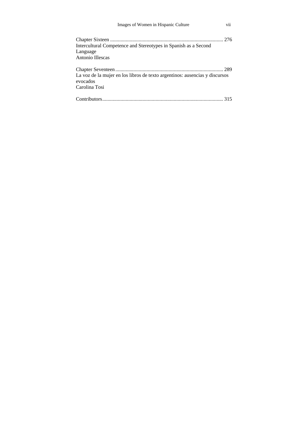| Images of Women in Hispanic Culture                                                                      | V11  |
|----------------------------------------------------------------------------------------------------------|------|
| Intercultural Competence and Stereotypes in Spanish as a Second<br>Language<br>Antonio Illescas          |      |
| La voz de la mujer en los libros de texto argentinos: ausencias y discursos<br>evocados<br>Carolina Tosi | .289 |
|                                                                                                          |      |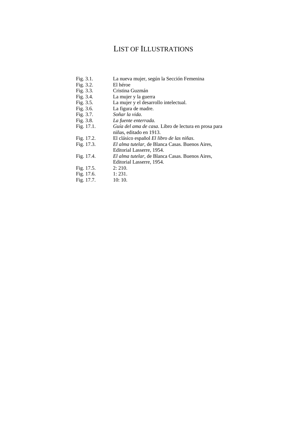# LIST OF ILLUSTRATIONS

| Fig. $3.1$ .  | La nueva mujer, según la Sección Femenina            |
|---------------|------------------------------------------------------|
| Fig. 3.2.     | El héroe                                             |
| Fig. $3.3$ .  | Cristina Guzmán                                      |
| Fig. $3.4$ .  | La mujer y la guerra                                 |
| Fig. $3.5$ .  | La mujer y el desarrollo intelectual.                |
| Fig. 3.6.     | La figura de madre.                                  |
| Fig. 3.7.     | Soñar la vida.                                       |
| Fig. 3.8.     | La fuente enterrada.                                 |
| Fig. 17.1.    | Guía del ama de casa. Libro de lectura en prosa para |
|               | niñas, editado en 1913.                              |
| Fig. 17.2.    | El clásico español El libro de las niñas.            |
| Fig. 17.3.    | El alma tutelar, de Blanca Casas. Buenos Aires,      |
|               | Editorial Lasserre, 1954.                            |
| Fig. $17.4$ . | El alma tutelar, de Blanca Casas. Buenos Aires,      |
|               | Editorial Lasserre, 1954.                            |
| Fig. $17.5$ . | 2:210.                                               |
| Fig. 17.6.    | 1:231.                                               |
| Fig. 17.7.    | 10:10.                                               |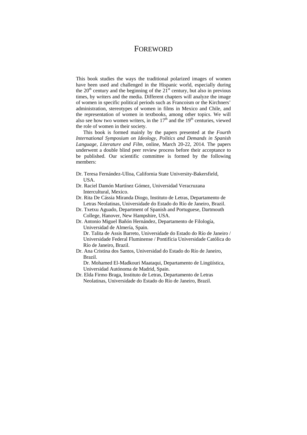### FOREWORD

This book studies the ways the traditional polarized images of women have been used and challenged in the Hispanic world, especially during the  $20<sup>th</sup>$  century and the beginning of the  $21<sup>st</sup>$  century, but also in previous times, by writers and the media. Different chapters will analyze the image of women in specific political periods such as Francoism or the Kirchners' administration, stereotypes of women in films in Mexico and Chile, and the representation of women in textbooks, among other topics. We will also see how two women writers, in the  $17<sup>th</sup>$  and the  $19<sup>th</sup>$  centuries, viewed the role of women in their society.

This book is formed mainly by the papers presented at the *Fourth International Symposium on Ideology, Politics and Demands in Spanish Language, Literature and Film,* online, March 20-22, 2014. The papers underwent a double blind peer review process before their acceptance to be published. Our scientific committee is formed by the following members:

- Dr. Teresa Fernández-Ulloa, California State University-Bakersfield, USA.
- Dr. Raciel Damón Martínez Gómez, Universidad Veracruzana Intercultural, Mexico.
- Dr. Rita De Cássia Miranda Diogo, Instituto de Letras, Departamento de Letras Neolatinas, Universidade do Estado do Río de Janeiro, Brazil.
- Dr. Txetxu Aguado, Department of Spanish and Portuguese, Dartmouth College, Hanover, New Hampshire, USA.
- Dr. Antonio Miguel Bañón Hernández, Departamento de Filología, Universidad de Almería, Spain. Dr. Talita de Assis Barreto, Universidade do Estado do Río de Janeiro / Universidade Federal Fluminense / Pontifícia Universidade Católica do Río de Janeiro, Brazil.
- Dr. Ana Cristina dos Santos, Universidad do Estado do Río de Janeiro, Brazil.

Dr. Mohamed El-Madkouri Maataqui, Departamento de Lingüística, Universidad Autónoma de Madrid, Spain.

Dr. Elda Firmo Braga, Instituto de Letras, Departamento de Letras Neolatinas, Universidade do Estado do Río de Janeiro, Brazil.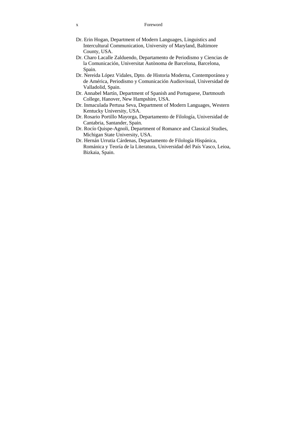#### x Foreword

- Dr. Erin Hogan, Department of Modern Languages, Linguistics and Intercultural Communication, University of Maryland, Baltimore County, USA.
- Dr. Charo Lacalle Zalduendo, Departamento de Periodismo y Ciencias de la Comunicación, Universitat Autònoma de Barcelona, Barcelona, Spain.
- Dr. Nereida López Vidales, Dpto. de Historia Moderna, Contemporánea y de América, Periodismo y Comunicación Audiovisual, Universidad de Valladolid, Spain.
- Dr. Annabel Martín, Department of Spanish and Portuguese, Dartmouth College, Hanover, New Hampshire, USA.
- Dr. Inmaculada Pertusa Seva, Department of Modern Languages, Western Kentucky University, USA.
- Dr. Rosario Portillo Mayorga, Departamento de Filología, Universidad de Cantabria, Santander, Spain.
- Dr. Rocío Quispe-Agnoli, Department of Romance and Classical Studies, Michigan State University, USA.
- Dr. Hernán Urrutia Cárdenas, Departamento de Filología Hispánica, Románica y Teoría de la Literatura, Universidad del País Vasco, Leioa, Bizkaia, Spain.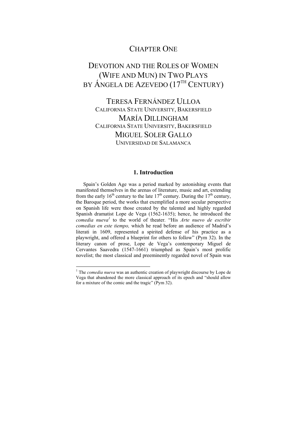## CHAPTER ONE

# DEVOTION AND THE ROLES OF WOMEN (WIFE AND MUN) IN TWO PLAYS BY ÁNGELA DE AZEVEDO (17<sup>TH</sup> CENTURY)

## TERESA FERNÁNDEZ ULLOA CALIFORNIA STATE UNIVERSITY, BAKERSFIELD MARÍA DILLINGHAM CALIFORNIA STATE UNIVERSITY, BAKERSFIELD MIGUEL SOLER GALLO UNIVERSIDAD DE SALAMANCA

#### **1. Introduction**

Spain's Golden Age was a period marked by astonishing events that manifested themselves in the arenas of literature, music and art, extending from the early 16<sup>th</sup> century to the late 17<sup>th</sup> century. During the 17<sup>th</sup> century, the Baroque period, the works that exemplified a more secular perspective on Spanish life were those created by the talented and highly regarded Spanish dramatist Lope de Vega (1562-1635); hence, he introduced the *comedia nueva1* to the world of theater. "His *Arte nuevo de escribir comedias en este tiempo,* which he read before an audience of Madrid's literati in 1609, represented a spirited defense of his practice as a playwright, and offered a blueprint for others to follow" (Pym 32). In the literary canon of prose, Lope de Vega's contemporary Miguel de Cervantes Saavedra (1547-1661) triumphed as Spain's most prolific novelist; the most classical and preeminently regarded novel of Spain was

 1 The *comedia nueva* was an authentic creation of playwright discourse by Lope de Vega that abandoned the more classical approach of its epoch and "should allow for a mixture of the comic and the tragic" (Pym 32).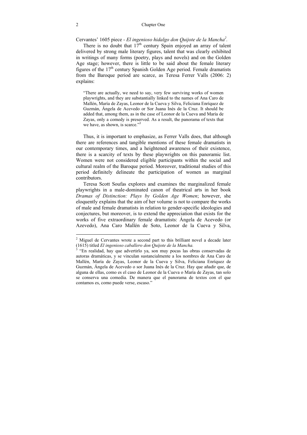#### 2 Chapter One

Cervantes' 1605 piece - *El ingenioso hidalgo don Quijote de la Mancha2 .* 

There is no doubt that  $17<sup>th</sup>$  century Spain enjoyed an array of talent delivered by strong male literary figures, talent that was clearly exhibited in writings of many forms (poetry, plays and novels) and on the Golden Age stage; however, there is little to be said about the female literary figures of the  $17<sup>th</sup>$  century Spanish Golden Age period. Female dramatists from the Baroque period are scarce, as Teresa Ferrer Valls (2006: 2) explains:

"There are actually, we need to say, very few surviving works of women playwrights, and they are substantially linked to the names of Ana Caro de Mallén, María de Zayas, Leonor de la Cueva y Silva, Feliciana Enríquez de Guzmán, Ángela de Acevedo or Sor Juana Inés de la Cruz. It should be added that, among them, as in the case of Leonor de la Cueva and María de Zayas, only a comedy is preserved. As a result, the panorama of texts that we have, as shown, is scarce."<sup>3</sup>

Thus, it is important to emphasize, as Ferrer Valls does, that although there are references and tangible mentions of these female dramatists in our contemporary times, and a heightened awareness of their existence, there is a scarcity of texts by these playwrights on this panoramic list. Women were not considered eligible participants within the social and cultural realm of the Baroque period. Moreover, traditional studies of this period definitely delineate the participation of women as marginal contributors.

Teresa Scott Soufas explores and examines the marginalized female playwrights in a male-dominated canon of theatrical arts in her book *Dramas of Distinction: Plays by Golden Age Women*; however, she eloquently explains that the aim of her volume is not to compare the works of male and female dramatists in relation to gender-specific ideologies and conjectures, but moreover, is to extend the appreciation that exists for the works of five extraordinary female dramatists: Ángela de Acevedo (or Azevedo), Ana Caro Mallén de Soto, Leonor de la Cueva y Silva,

 $2$  Miguel de Cervantes wrote a second part to this brilliant novel a decade later (1615) titled *El ingenioso caballero don Quijote de la Mancha.* <sup>3</sup>

<sup>&</sup>lt;sup>3</sup> "En realidad, hay que advertirlo ya, son muy pocas las obras conservadas de autoras dramáticas, y se vinculan sustancialmente a los nombres de Ana Caro de Mallén, María de Zayas, Leonor de la Cueva y Silva, Feliciana Enríquez de Guzmán, Ángela de Acevedo o sor Juana Inés de la Cruz. Hay que añadir que, de alguna de ellas, como es el caso de Leonor de la Cueva o María de Zayas, tan solo se conserva una comedia. De manera que el panorama de textos con el que contamos es, como puede verse, escaso."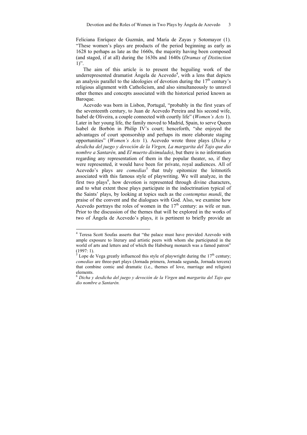Feliciana Enríquez de Guzmán, and María de Zayas y Sotomayor (1). "These women's plays are products of the period beginning as early as 1628 to perhaps as late as the 1660s, the majority having been composed (and staged, if at all) during the 1630s and 1640s (*Dramas of Distinction*   $1$ ".

The aim of this article is to present the beguiling work of the underrepresented dramatist Ángela de Acevedo<sup>4</sup>, with a lens that depicts an analysis parallel to the ideologies of devotion during the  $17<sup>th</sup>$  century's religious alignment with Catholicism, and also simultaneously to unravel other themes and concepts associated with the historical period known as Baroque.

Acevedo was born in Lisbon, Portugal, "probably in the first years of the seventeenth century, to Juan de Acevedo Pereira and his second wife, Isabel de Oliveira, a couple connected with courtly life" (*Women's Acts* 1). Later in her young life, the family moved to Madrid, Spain, to serve Queen Isabel de Borbón in Philip IV's court; henceforth, "she enjoyed the advantages of court sponsorship and perhaps its more elaborate staging opportunities" (*Women's Acts* 1). Acevedo wrote three plays (*Dicha y desdicha del juego y devoción de la Virgen, La margarita del Tajo que dio nombre a Santarén,* and *El muerto disimulado)*, but there is no information regarding any representation of them in the popular theater, so, if they were represented, it would have been for private, royal audiences. All of Acevedo's plays are *comedias*<sup>5</sup> that truly epitomize the leitmotifs associated with this famous style of playwriting. We will analyze, in the first two plays<sup>6</sup>, how devotion is represented through divine characters, and to what extent these plays participate in the indoctrination typical of the Saints' plays, by looking at topics such as the *contemptus mundi*, the praise of the convent and the dialogues with God. Also, we examine how Acevedo portrays the roles of women in the  $17<sup>th</sup>$  century: as wife or nun. Prior to the discussion of the themes that will be explored in the works of two of Ángela de Acevedo's plays, it is pertinent to briefly provide an

<sup>&</sup>lt;sup>4</sup> Teresa Scott Soufas asserts that "the palace must have provided Azevedo with ample exposure to literary and artistic peers with whom she participated in the world of arts and letters and of which the Habsburg monarch was a famed patron" (1997: 1).

<sup>5</sup> Lope de Vega greatly influenced this style of playwright during the  $17<sup>th</sup>$  century; *comedias* are three-part plays (Jornada primera, Jornada segunda, Jornada tercera) that combine comic and dramatic (i.e., themes of love, marriage and religion) elements.

<sup>6</sup> *Dicha y desdicha del juego y devoción de la Virgen* and *margarita del Tajo que dio nombre a Santarén.*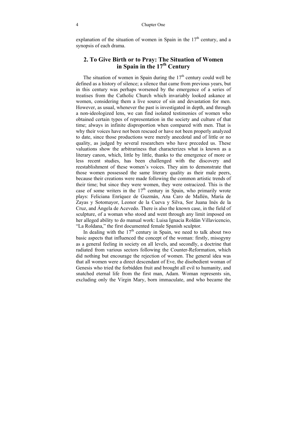explanation of the situation of women in Spain in the  $17<sup>th</sup>$  century, and a synopsis of each drama.

#### **2. To Give Birth or to Pray: The Situation of Women in Spain in the 17th Century**

The situation of women in Spain during the  $17<sup>th</sup>$  century could well be defined as a history of silence; a silence that came from previous years, but in this century was perhaps worsened by the emergence of a series of treatises from the Catholic Church which invariably looked askance at women, considering them a live source of sin and devastation for men. However, as usual, whenever the past is investigated in depth, and through a non-ideologized lens, we can find isolated testimonies of women who obtained certain types of representation in the society and culture of that time; always in infinite disproportion when compared with men. That is why their voices have not been rescued or have not been properly analyzed to date, since those productions were merely anecdotal and of little or no quality, as judged by several researchers who have preceded us. These valuations show the arbitrariness that characterizes what is known as a literary canon, which, little by little, thanks to the emergence of more or less recent studies, has been challenged with the discovery and reestablishment of these women's voices. They aim to demonstrate that those women possessed the same literary quality as their male peers, because their creations were made following the common artistic trends of their time; but since they were women, they were ostracized. This is the case of some writers in the  $17<sup>th</sup>$  century in Spain, who primarily wrote plays: Feliciana Enríquez de Guzmán, Ana Caro de Mallén, María de Zayas y Sotomayor, Leonor de la Cueva y Silva, Sor Juana Inés de la Cruz, and Ángela de Acevedo. There is also the known case, in the field of sculpture, of a woman who stood and went through any limit imposed on her alleged ability to do manual work: Luisa Ignacia Roldán Villavicencio, "La Roldana," the first documented female Spanish sculptor.

In dealing with the  $17<sup>th</sup>$  century in Spain, we need to talk about two basic aspects that influenced the concept of the woman: firstly, misogyny as a general feeling in society on all levels, and secondly, a doctrine that radiated from various sectors following the Counter-Reformation, which did nothing but encourage the rejection of women. The general idea was that all women were a direct descendant of Eve, the disobedient woman of Genesis who tried the forbidden fruit and brought all evil to humanity, and snatched eternal life from the first man, Adam. Woman represents sin, excluding only the Virgin Mary, born immaculate, and who became the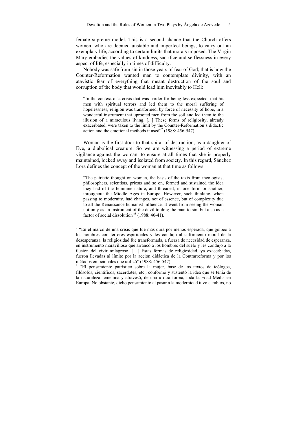female supreme model. This is a second chance that the Church offers women, who are deemed unstable and imperfect beings, to carry out an exemplary life, according to certain limits that morals imposed. The Virgin Mary embodies the values of kindness, sacrifice and selflessness in every aspect of life, especially in times of difficulty.

Nobody was safe from sin in those years of fear of God; that is how the Counter-Reformation wanted man to contemplate divinity, with an atavistic fear of everything that meant destruction of the soul and corruption of the body that would lead him inevitably to Hell:

"In the context of a crisis that was harder for being less expected, that hit men with spiritual terrors and led them to the moral suffering of hopelessness, religion was transformed, by force of necessity of hope, in a wonderful instrument that uprooted men from the soil and led them to the illusion of a miraculous living. [...] These forms of religiosity, already exacerbated, were taken to the limit by the Counter-Reformation's didactic action and the emotional methods it used"<sup>7</sup> (1988: 456-547).

Woman is the first door to that spiral of destruction, as a daughter of Eve, a diabolical creature. So we are witnessing a period of extreme vigilance against the woman, to ensure at all times that she is properly maintained, locked away and isolated from society. In this regard, Sánchez Lora defines the concept of the woman at that time as follows:

"The patristic thought on women, the basis of the texts from theologists, philosophers, scientists, priests and so on, formed and sustained the idea they had of the feminine nature, and threaded, in one form or another, throughout the Middle Ages in Europe. However, such thinking, when passing to modernity, had changes, not of essence, but of complexity due to all the Renaissance humanist influence. It went from seeing the woman not only as an instrument of the devil to drag the man to sin, but also as a factor of social dissolution<sup>38</sup> (1988: 40-41).

<sup>&</sup>lt;sup>7</sup> "En el marco de una crisis que fue más dura por menos esperada, que golpeó a los hombres con terrores espirituales y les condujo al sufrimiento moral de la desesperanza, la religiosidad fue transformada, a fuerza de necesidad de esperanza, en instrumento maravilloso que arrancó a los hombres del suelo y les condujo a la ilusión del vivir milagroso. […] Estas formas de religiosidad, ya exacerbadas, fueron llevadas al límite por la acción didáctica de la Contrarreforma y por los métodos emocionales que utilizó" (1988: 456-547).

<sup>&</sup>lt;sup>8</sup> "El pensamiento patrístico sobre la mujer, base de los textos de teólogos, filósofos, científicos, sacerdotes, etc., conformó y sustentó la idea que se tenía de la naturaleza femenina y atravesó, de una u otra forma, toda la Edad Media en Europa. No obstante, dicho pensamiento al pasar a la modernidad tuvo cambios, no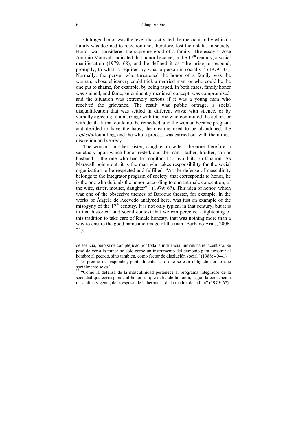#### 6 Chapter One

Outraged honor was the lever that activated the mechanism by which a family was doomed to rejection and, therefore, lost their status in society. Honor was considered the supreme good of a family. The essayist José Antonio Maravall indicated that honor became, in the  $17<sup>th</sup>$  century, a social manifestation (1979: 68), and he defined it as "the prize to respond, promptly, to what is required by what a person is socially<sup> $\frac{1}{2}$ </sup> (1979: 33). Normally, the person who threatened the honor of a family was the woman, whose chicanery could trick a married man, or who could be the one put to shame, for example, by being raped. In both cases, family honor was stained, and fame, an eminently medieval concept, was compromised; and the situation was extremely serious if it was a young man who received the grievance. The result was public outrage, a social disqualification that was settled in different ways: with silence, or by verbally agreeing to a marriage with the one who committed the action, or with death. If that could not be remedied, and the woman became pregnant and decided to have the baby, the creature used to be abandoned, the *expósito*/foundling, and the whole process was carried out with the utmost discretion and secrecy.

The woman—mother, sister, daughter or wife— became therefore, a sanctuary upon which honor rested, and the man—father, brother, son or husband— the one who had to monitor it to avoid its profanation. As Maravall points out, it is the man who takes responsibility for the social organization to be respected and fulfilled. "As the defense of masculinity belongs to the integrator program of society, that corresponds to honor, he is the one who defends the honor, according to current male conception, of the wife, sister, mother, daughter $^{510}$  (1979: 67). This idea of honor, which was one of the obsessive themes of Baroque theater, for example, in the works of Ángela de Acevedo analyzed here, was just an example of the misogyny of the  $17<sup>th</sup>$  century. It is not only typical in that century, but it is in that historical and social context that we can perceive a tightening of this tradition to take care of female honesty, that was nothing more than a way to ensure the good name and image of the man (Burbano Arias, 2006: 21).

de esencia, pero sí de complejidad por toda la influencia humanista renacentista. Se pasó de ver a la mujer no solo como un instrumento del demonio para arrastrar al hombre al pecado, sino también, como factor de disolución social" (1988: 40-41).<br><sup>9</sup> "el premio de responder, puntualmente, a lo que se está obligado por lo que

socialmente se es."

<sup>&</sup>lt;sup>10</sup> "Como la defensa de la masculinidad pertenece al programa integrador de la sociedad que corresponde al honor, el que defiende la honra, según la concepción masculina vigente, de la esposa, de la hermana, de la madre, de la hija" (1979: 67).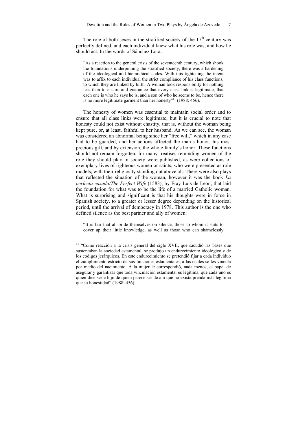The role of both sexes in the stratified society of the  $17<sup>th</sup>$  century was perfectly defined, and each individual knew what his role was, and how he should act. In the words of Sánchez Lora:

"As a reaction to the general crisis of the seventeenth century, which shook the foundations underpinning the stratified society, there was a hardening of the ideological and hierarchical codes. With this tightening the intent was to affix to each individual the strict compliance of his class functions, to which they are linked by birth. A woman took responsibility for nothing less than to ensure and guarantee that every class link is legitimate, that each one is who he says he is, and a son of who he seems to be, hence there is no more legitimate garment than her honesty<sup>"11</sup> (1988: 456).

The honesty of women was essential to maintain social order and to ensure that all class links were legitimate, but it is crucial to note that honesty could not exist without chastity, that is, without the woman being kept pure, or, at least, faithful to her husband. As we can see, the woman was considered an abnormal being since her "free will," which in any case had to be guarded, and her actions affected the man's honor, his most precious gift, and by extension, the whole family's honor. These functions should not remain forgotten, for many treatises reminding women of the role they should play in society were published, as were collections of exemplary lives of righteous women or saints, who were presented as role models, with their religiosity standing out above all. There were also plays that reflected the situation of the woman, however it was the book *La perfecta casada/The Perfect Wife* (1583), by Fray Luis de León, that laid the foundation for what was to be the life of a married Catholic woman. What is surprising and significant is that his thoughts were in force in Spanish society, to a greater or lesser degree depending on the historical period, until the arrival of democracy in 1978. This author is the one who defined silence as the best partner and ally of women:

"It is fair that all pride themselves on silence, those to whom it suits to cover up their little knowledge, as well as those who can shamelessly

 $11$  "Como reacción a la crisis general del siglo XVII, que sacudió las bases que sustentaban la sociedad estamental, se produjo un endurecimiento ideológico y de los códigos jerárquicos. En este endurecimiento se pretendió fijar a cada individuo el cumplimiento estricto de sus funciones estamentales, a las cuales se les vincula por medio del nacimiento. A la mujer le correspondió, nada menos, el papel de asegurar y garantizar que toda vinculación estamental es legítima, que cada uno es quien dice ser e hijo de quien parece ser de ahí que no exista prenda más legítima que su honestidad" (1988: 456).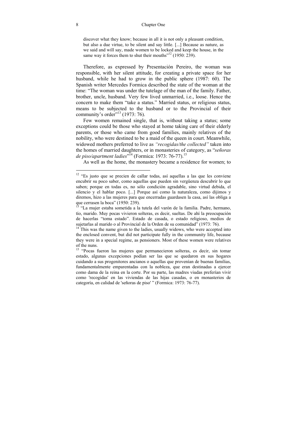#### 8 Chapter One

discover what they know; because in all it is not only a pleasant condition, but also a due virtue, to be silent and say little. [...] Because as nature, as we said and will say, made women to be locked and keep the house, in the same way it forces them to shut their mouths $12$  (1950: 239).

Therefore, as expressed by Presentación Pereiro, the woman was responsible, with her silent attitude, for creating a private space for her husband, while he had to grow in the public sphere (1987: 60). The Spanish writer Mercedes Formica described the state of the woman at the time: "The woman was under the tutelage of the man of the family. Father, brother, uncle, husband. Very few lived unmarried, i.e., loose. Hence the concern to make them "take a status." Married status, or religious status, means to be subjected to the husband or to the Provincial of their community's order $1973:76$ .

Few women remained single, that is, without taking a status; some exceptions could be those who stayed at home taking care of their elderly parents, or those who came from good families, mainly relatives of the nobility, who were destined to be a maid of the queen in court. Meanwhile, widowed mothers preferred to live as *"recogidas/the collected"* taken into the homes of married daughters, or in monasteries of category, as "*señoras de piso/apartment ladies*" 14 (Formica: 1973: 76-77).15

As well as the home, the monastery became a residence for women; to

<sup>&</sup>lt;sup>12</sup> "Es justo que se precien de callar todas, así aquellas a las que les conviene encubrir su poco saber, como aquellas que pueden sin vergüenza descubrir lo que saben; porque en todas es, no sólo condición agradable, sino virtud debida, el silencio y el hablar poco. [...] Porque así como la naturaleza, como dijimos y diremos, hizo a las mujeres para que encerradas guardasen la casa, así las obliga a que cerrasen la boca" (1950: 239).

<sup>&</sup>lt;sup>13</sup> "La mujer estaba sometida a la tutela del varón de la familia. Padre, hermano, tío, marido. Muy pocas vivieron solteras, es decir, sueltas. De ahí la preocupación de hacerlas "toma estado". Estado de casada, o estado religioso, medios de sujetarlas al marido o al Provincial de la Orden de su comunidad" (1973: 76). <sup>14</sup> This was the name given to the ladies, usually widows, who were accepted into

the enclosed convent, but did not participate fully in the community life, because they were in a special regime, as pensioners. Most of these women were relatives of the nuns.

<sup>&</sup>lt;sup>15</sup> "Pocas fueron las mujeres que permanecieron solteras, es decir, sin tomar estado, algunas excepciones podían ser las que se quedaron en sus hogares cuidando a sus progenitores ancianos o aquellas que provenían de buenas familias, fundamentalmente emparentadas con la nobleza, que eran destinadas a ejercer como dama de la reina en la corte. Por su parte, las madres viudas preferían vivir como 'recogidas' en las viviendas de las hijas casadas, o en monasterios de categoría, en calidad de 'señoras de piso' " (Formica: 1973: 76-77).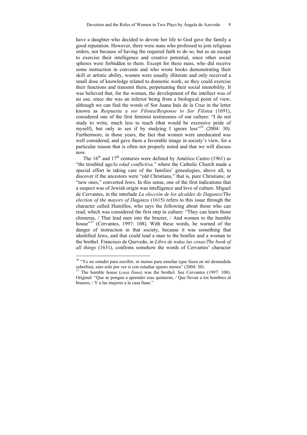have a daughter who decided to devote her life to God gave the family a good reputation. However, there were nuns who professed to join religious orders, not because of having the required faith to do so, but as an escape to exercise their intelligence and creative potential, since other social spheres were forbidden to them. Except for these nuns, who did receive some instruction in convents and who wrote books demonstrating their skill or artistic ability, women were usually illiterate and only received a small dose of knowledge related to domestic work, so they could exercise their functions and transmit them, perpetuating their social immobility. It was believed that, for the woman, the development of the intellect was of no use, since she was an inferior being from a biological point of view, although we can find the words of Sor Juana Inés de la Cruz in the letter known as *Respuesta a sor Filotea/Response to Sor Filotea* (1691), considered one of the first feminist testimonies of our culture: "I do not study to write, much less to teach (that would be excessive pride of myself), but only to see if by studying I ignore less<sup> $1/16$ </sup> (2004: 30). Furthermore, in those years, the fact that women were uneducated was well considered, and gave them a favorable image in society's view, for a particular reason that is often not properly noted and that we will discuss now.

The  $16<sup>th</sup>$  and  $17<sup>th</sup>$  centuries were defined by Américo Castro (1961) as "the troubled age/*la edad conflictiva,*" where the Catholic Church made a special effort in taking care of the families' genealogies, above all, to discover if the ancestors were "old Christians," that is, pure Christians; or "new ones," converted Jews. In this sense, one of the first indications that a suspect was of Jewish origin was intelligence and love of culture. Miguel de Cervantes, in the interlude *La elección de los alcaldes de Daganzo/The election of the mayors of Daganzo* (1615) refers to this issue through the character called Humillos, who says the following about those who can read, which was considered the first step in culture: "They can learn those chimeras, / That lead men into the brazier, / And women to the humble house"<sup>17</sup> (Cervantes, 1997: 108). With these words, he warned of the danger of instruction in that society, because it was something that identified Jews, and that could lead a man to the bonfire and a woman to the brothel. Francisco de Quevedo, in *Libro de todas las cosas/The book of all things* (1631), confirms somehow the words of Cervantes' character

<sup>&</sup>lt;sup>16</sup> "Yo no estudio para escribir, ni menos para enseñar (que fuera en mí desmedida soberbia), sino solo por ver si con estudiar ignoro menos" (2004: 30). 17 The humble house (*casa llana*) was the brothel. See Cervantes (1997: 108).

Original: "Que se pongan a aprender esas quimeras, / Que llevan a los hombres al brasero, / Y a las mujeres a la casa llana."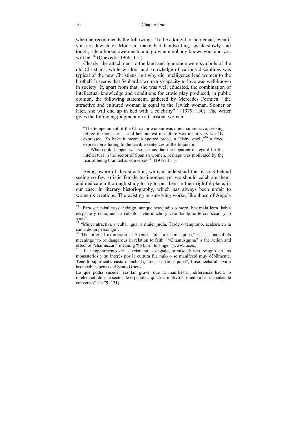when he recommends the following: "To be a knight or nobleman, even if you are Jewish or Moorish, make bad handwriting, speak slowly and tough, ride a horse, owe much, and go where nobody knows you, and you will be"<sup>18</sup> (Ouevedo: 1966: 115).

Clearly, the attachment to the land and ignorance were symbols of the old Christians, while wisdom and knowledge of various disciplines was typical of the new Christians; but why did intelligence lead women to the brothel? It seems that Sephardic women's capacity to love was well-known in society. If, apart from that, she was well educated, the combination of intellectual knowledge and conditions for erotic play produced, in public opinion, the following statement, gathered by Mercedes Formica: "the attractive and cultured woman is equal to the Jewish woman. Sooner or later, she will end up in bed with a celebrity"<sup>19</sup> (1979: 130). The writer gives the following judgment on a Christian woman:

"The temperament of the Christian woman was quiet, submissive, seeking refuge in monasteries, and her interest in culture was nil or very weakly expressed. To have it meant a spotted breed, a "fishy smell," $^{20}$  a fixed expression alluding to the terrible sentences of the Inquisition.

What could happen was so serious that the apparent disregard for the intellectual in the sector of Spanish women, perhaps was motivated by the fear of being branded as converses"<sup>21</sup> (1979: 131).

Being aware of this situation, we can understand the reasons behind seeing so few artistic female testimonies, yet we should celebrate them, and dedicate a thorough study to try to put them in their rightful place, in our case, in literary historiography, which has always been unfair to women's creations. The existing or surviving works, like those of Ángela

<sup>&</sup>lt;sup>18</sup> "Para ser caballero o hidalgo, aunque seas judío o moro, haz mala letra, habla despacio y recio, anda a caballo, debe mucho y vete donde no te conozcan, y lo serás".

<sup>&</sup>lt;sup>19</sup> "Mujer atractiva y culta, igual a mujer judía. Tarde o temprano, acabará en la cama de un personaje".

 $20$  The original expression in Spanish "oler a chamusquina," has as one of its meanings "to be dangerous in relation to faith." "Chamusquina" is the action and effect of "chamuscar," meaning "to burn, to singe" (www.rae.es). 21 "El temperamento de la cristiana, sosegado, sumiso, buscó refugio en los

monasterios y su interés por la cultura fue nulo o se manifestó muy débilmente. Tenerlo significaba casta manchada, "oler a chamusquina", frase hecha alusiva a las terribles penas del Santo Oficio.

Lo que podía suceder era tan grave, que la manifiesta indiferencia hacia lo intelectual, de este sector de españolas, quizá la motivó el miedo a ser tachadas de conversas" (1979: 131).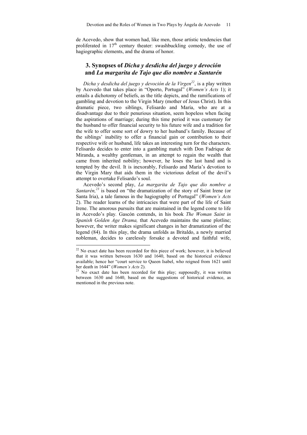de Acevedo, show that women had, like men, those artistic tendencies that proliferated in  $17<sup>th</sup>$  century theater: swashbuckling comedy, the use of hagiographic elements, and the drama of honor.

#### **3. Synopses of** *Dicha y desdicha del juego y devoción*  **and** *La margarita de Tajo que dio nombre a Santarén*

*Dicha y desdicha del juego y devoción de la Virgen22*, is a play written by Acevedo that takes place in "Oporto, Portugal" (*Women's Acts* 1); it entails a dichotomy of beliefs, as the title depicts, and the ramifications of gambling and devotion to the Virgin Mary (mother of Jesus Christ). In this dramatic piece, two siblings, Felisardo and María, who are at a disadvantage due to their penurious situation, seem hopeless when facing the aspirations of marriage; during this time period it was customary for the husband to offer financial security to his future wife and a tradition for the wife to offer some sort of dowry to her husband's family. Because of the siblings' inability to offer a financial gain or contribution to their respective wife or husband, life takes an interesting turn for the characters. Felisardo decides to enter into a gambling match with Don Fadrique de Miranda, a wealthy gentleman, in an attempt to regain the wealth that came from inherited nobility; however, he loses the last hand and is tempted by the devil. It is inexorably, Felisardo and María's devotion to the Virgin Mary that aids them in the victorious defeat of the devil's attempt to overtake Felisardo's soul.

Acevedo's second play, *La margarita de Tajo que dio nombre a Santarén*,<sup>23</sup> is based on "the dramatization of the story of Saint Irene (or Santa Iria), a tale famous in the hagiography of Portugal" (*Women's Acts* 2). The reader learns of the intricacies that were part of the life of Saint Irene. The amorous pursuits that are maintained in the legend come to life in Acevedo's play*.* Gascón contends, in his book *The Woman Saint in Spanish Golden Age Drama,* that Acevedo maintains the same plotline; however, the writer makes significant changes in her dramatization of the legend (84). In this play, the drama unfolds as Britaldo, a newly married nobleman, decides to carelessly forsake a devoted and faithful wife,

 $22$  No exact date has been recorded for this piece of work; however, it is believed that it was written between 1630 and 1640, based on the historical evidence available; hence her "court service to Queen Isabel, who reigned from 1621 until her death in  $1644$ " (*Women's Acts* 2).

<sup>&</sup>lt;sup>23</sup> No exact date has been recorded for this play; supposedly, it was written between 1630 and 1640, based on the suggestions of historical evidence, as mentioned in the previous note.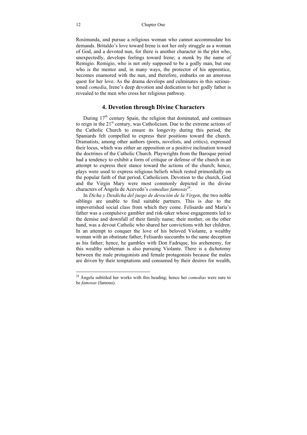Rosimunda, and pursue a religious woman who cannot accommodate his demands. Britaldo's love toward Irene is not her only struggle as a woman of God, and a devoted nun, for there is another character in the plot who, unexpectedly, develops feelings toward Irene; a monk by the name of Remigio. Remigio, who is not only supposed to be a godly man, but one who is the mentor and, in many ways, the protector of his apprentice, becomes enamored with the nun, and therefore, embarks on an amorous quest for her love. As the drama develops and culminates in this serioustoned *comedia*, Irene's deep devotion and dedication to her godly father is revealed to the men who cross her religious pathway.

#### **4. Devotion through Divine Characters**

During  $17<sup>th</sup>$  century Spain, the religion that dominated, and continues to reign in the  $21<sup>st</sup>$  century, was Catholicism. Due to the extreme actions of the Catholic Church to ensure its longevity during this period, the Spaniards felt compelled to express their positions toward the church. Dramatists, among other authors (poets, novelists, and critics), expressed their locus, which was either an opposition or a positive inclination toward the doctrines of the Catholic Church. Playwrights from the Baroque period had a tendency to exhibit a form of critique or defense of the church in an attempt to express their stance toward the actions of the church; hence, plays were used to express religious beliefs which rested primordially on the popular faith of that period, Catholicism. Devotion to the church, God and the Virgin Mary were most commonly depicted in the divine characters of Ángela de Acevedo's *comedias famosas*24.

In *Dicha y Desdicha del juego de devoción de la Virgen*, the two noble siblings are unable to find suitable partners. This is due to the impoverished social class from which they come. Felisardo and María's father was a compulsive gambler and risk-taker whose engagements led to the demise and downfall of their family name; their mother, on the other hand, was a devout Catholic who shared her convictions with her children. In an attempt to conquer the love of his beloved Violante, a wealthy woman with an obstinate father, Felisardo succumbs to the same deception as his father; hence, he gambles with Don Fadrique, his archenemy, for this wealthy nobleman is also pursuing Violante. There is a dichotomy between the male protagonists and female protagonists because the males are driven by their temptations and consumed by their desires for wealth,

<sup>24</sup> Ángela subtitled her works with this heading; hence her *comedias* were sure to be *famosas* (famous).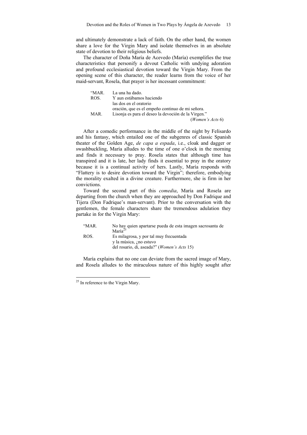and ultimately demonstrate a lack of faith. On the other hand, the women share a love for the Virgin Mary and isolate themselves in an absolute state of devotion to their religious beliefs.

The character of Doña María de Acevedo (María) exemplifies the true characteristics that personify a devout Catholic with undying adoration and profound ecclesiastical devotion toward the Virgin Mary. From the opening scene of this character, the reader learns from the voice of her maid-servant, Rosela, that prayer is her incessant commitment:

| "MAR. | La una ha dado.                                     |
|-------|-----------------------------------------------------|
| ROS.  | Y aun estábamos haciendo                            |
|       | las dos en el oratorio                              |
|       | oración, que es el empeño continuo de mi señora.    |
| MAR.  | Lisonja es para el deseo la devoción de la Virgen." |
|       | ( <i>Women's Acts</i> $6$ )                         |

After a comedic performance in the middle of the night by Felisardo and his fantasy, which entailed one of the subgenres of classic Spanish theater of the Golden Age, *de capa a espada*, i.e., cloak and dagger or swashbuckling, María alludes to the time of one o'clock in the morning and finds it necessary to pray. Rosela states that although time has transpired and it is late, her lady finds it essential to pray in the oratory because it is a continual activity of hers. Lastly, María responds with "Flattery is to desire devotion toward the Virgin"; therefore, embodying the morality exalted in a divine creature. Furthermore, she is firm in her convictions.

Toward the second part of this *comedia*, María and Rosela are departing from the church when they are approached by Don Fadrique and Tijera (Don Fadrique's man-servant). Prior to the conversation with the gentlemen, the female characters share the tremendous adulation they partake in for the Virgin Mary:

| "MAR. | No hay quien apartarse pueda de esta imagen sacrosanta de |
|-------|-----------------------------------------------------------|
|       | María <sup>25</sup>                                       |
| ROS.  | Es milagrosa, y por tal muy frecuentada                   |
|       | y la música, ¿no estuvo                                   |
|       | del rosario, di, aseada?" ( <i>Women's Acts</i> 15)       |

María explains that no one can deviate from the sacred image of Mary, and Rosela alludes to the miraculous nature of this highly sought after

 $25$  In reference to the Virgin Mary.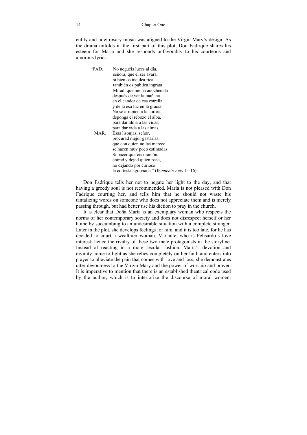entity and how rosary music was aligned to the Virgin Mary's design. As the drama unfolds in the first part of this plot, Don Fadrique shares his esteem for María and she responds unfavorably to his courteous and amorous lyrics:

"FAD. No neguéis luces al día, señora, que el ser avara, si bien os inculca rica, también os publica ingrata Mirad, que me ha anochecida después de ver la mañana en el candor de esa estrella y de la esa luz en la gracia. No se arrepienta la aurora, deponga el rebozo el alba, para dar alma a las vidas, para dar vida a las almas. MAR. Esas lisonjas, señor, procurad mejor gastarlas, que con quien no las merece se hacen muy poco estimadas. Si hacer queréis oración, entrad y dejad quien pasa, no dejando por curioso la cortesía agraviada." (*Women's Acts* 15-16)

Don Fadrique tells her not to negate her light to the day, and that having a greedy soul is not recommended. María is not pleased with Don Fadrique courting her, and tells him that he should not waste his tantalizing words on someone who does not appreciate them and is merely passing through, but had better use his diction to pray in the church.

It is clear that Doña María is an exemplary woman who respects the norms of her contemporary society and does not disrespect herself or her home by succumbing to an undesirable situation with a complete stranger. Later in the plot, she develops feelings for him, and it is too late, for he has decided to court a wealthier woman, Violante, who is Felisardo's love interest; hence the rivalry of these two male protagonists in the storyline. Instead of reacting in a more secular fashion, María's devotion and divinity come to light as she relies completely on her faith and enters into prayer to alleviate the pain that comes with love and loss; she demonstrates utter devoutness to the Virgin Mary and the power of worship and prayer. It is imperative to mention that there is an established theatrical code used by the author, which is to interiorize the discourse of moral women;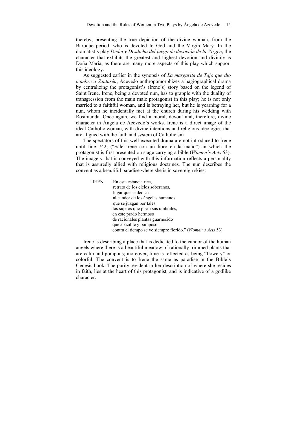thereby, presenting the true depiction of the divine woman, from the Baroque period, who is devoted to God and the Virgin Mary. In the dramatist's play *Dicha y Desdicha del juego de devoción de la Virgen*, the character that exhibits the greatest and highest devotion and divinity is Doña María, as there are many more aspects of this play which support this ideology.

As suggested earlier in the synopsis of *La margarita de Tajo que dio nombre a Santarén*, Acevedo anthropomorphizes a hagiographical drama by centralizing the protagonist's (Irene's) story based on the legend of Saint Irene. Irene, being a devoted nun, has to grapple with the duality of transgression from the main male protagonist in this play; he is not only married to a faithful woman, and is betraying her, but he is yearning for a nun, whom he incidentally met at the church during his wedding with Rosimunda. Once again, we find a moral, devout and, therefore, divine character in Ángela de Acevedo's works. Irene is a direct image of the ideal Catholic woman, with divine intentions and religious ideologies that are aligned with the faith and system of Catholicism.

The spectators of this well-executed drama are not introduced to Irene until line 742, ("Sale Irene con un libro en la mano") in which the protagonist is first presented on stage carrying a bible (*Women's Acts* 53). The imagery that is conveyed with this information reflects a personality that is assuredly allied with religious doctrines. The nun describes the convent as a beautiful paradise where she is in sovereign skies:

"IREN. En esta estancia rica, retrato de los cielos soberanos, lugar que se dedica al candor de los ángeles humanos que se juzgan por tales los sujetos que pisan sus umbrales, en este prado hermoso de racionales plantas guarnecido que apacible y pomposo, contra el tiempo se ve siempre florido." (*Women's Acts* 53)

Irene is describing a place that is dedicated to the candor of the human angels where there is a beautiful meadow of rationally trimmed plants that are calm and pompous; moreover, time is reflected as being "flowery" or colorful. The convent is to Irene the same as paradise in the Bible's Genesis book. The purity, evident in her description of where she resides in faith, lies at the heart of this protagonist, and is indicative of a godlike character.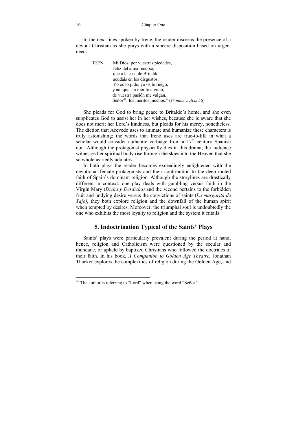In the next lines spoken by Irene, the reader discerns the presence of a devout Christian as she prays with a sincere disposition based on urgent need:

"IREN. Mi Dios, por vuestras piedades, feliz del alma recurso, que a la casa de Britaldo acudáis en los disgustos. Yo os lo pido, yo os lo ruego, y aunque sin mérito alguno, de vuestra pasión me valgan, Señor<sup>26</sup>, los méritos muchos." (*Women's Acts* 56)

She pleads for God to bring peace to Britaldo's home, and she even supplicates God to assist her in her wishes, because she is aware that she does not merit her Lord's kindness, but pleads for his mercy, nonetheless. The diction that Acevedo uses to animate and humanize these characters is truly astonishing; the words that Irene uses are true-to-life in what a scholar would consider authentic verbiage from a  $17<sup>th</sup>$  century Spanish nun. Although the protagonist physically dies in this drama, the audience witnesses her spiritual body rise through the skies into the Heaven that she so wholeheartedly adulates.

In both plays the reader becomes exceedingly enlightened with the devotional female protagonists and their contribution to the deep-rooted faith of Spain's dominant religion. Although the storylines are drastically different in context: one play deals with gambling versus faith in the Virgin Mary (*Dicha y Desdicha)* and the second pertains to the forbidden fruit and undying desire versus the convictions of saints (*La margarita de Tajo)*, they both explore religion and the downfall of the human spirit when tempted by desires. Moreover, the triumphal soul is undoubtedly the one who exhibits the most loyalty to religion and the system it entails.

#### **5. Indoctrination Typical of the Saints' Plays**

Saints' plays were particularly prevalent during the period at hand; hence, religion and Catholicism were questioned by the secular and mundane, or upheld by baptized Christians who followed the doctrines of their faith. In his book, *A Companion to Golden Age Theatre*, Jonathan Thacker explores the complexities of religion during the Golden Age, and

 $26$  The author is referring to "Lord" when using the word "Señor."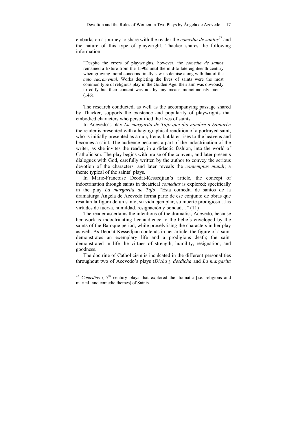embarks on a journey to share with the reader the *comedia de santos*<sup>27</sup> and the nature of this type of playwright. Thacker shares the following information:

"Despite the errors of playwrights, however, the *comedia de santos* remained a fixture from the 1590s until the mid-to late eighteenth century when growing moral concerns finally saw its demise along with that of the *auto sacramental.* Works depicting the lives of saints were the most common type of religious play in the Golden Age: their aim was obviously to edify but their content was not by any means monotonously pious" (146).

The research conducted, as well as the accompanying passage shared by Thacker, supports the existence and popularity of playwrights that embodied characters who personified the lives of saints.

In Acevedo's play *La margarita de Tajo que dio nombre a Santarén*  the reader is presented with a hagiographical rendition of a portrayed saint, who is initially presented as a nun, Irene, but later rises to the heavens and becomes a saint. The audience becomes a part of the indoctrination of the writer, as she invites the reader, in a didactic fashion, into the world of Catholicism. The play begins with praise of the convent, and later presents dialogues with God, carefully written by the author to convey the serious devotion of the characters, and later reveals the *contemptus mundi*; a theme typical of the saints' plays.

In Marie-Francoise Deodat-Kessedjian's article, the concept of indoctrination through saints in theatrical *comedias* is explored; specifically in the play *La margarita de Tajo*: "Esta comedia de santos de la dramaturga Ángela de Acevedo forma parte de ese conjunto de obras que resaltan la figura de un santo, su vida ejemplar, su muerte prodigiosa…las virtudes de fuerza, humildad, resignación y bondad…" (11)

The reader ascertains the intentions of the dramatist, Acevedo, because her work is indoctrinating her audience to the beliefs enveloped by the saints of the Baroque period, while proselytising the characters in her play as well. As Deodat-Kessedjian contends in her article, the figure of a saint demonstrates an exemplary life and a prodigious death; the saint demonstrated in life the virtues of strength, humility, resignation, and goodness.

The doctrine of Catholicism is inculcated in the different personalities throughout two of Acevedo's plays (*Dicha y desdicha* and *La margarita* 

<sup>&</sup>lt;sup>27</sup> *Comedias* (17<sup>th</sup> century plays that explored the dramatic [i.e. religious and marital] and comedic themes) of Saints.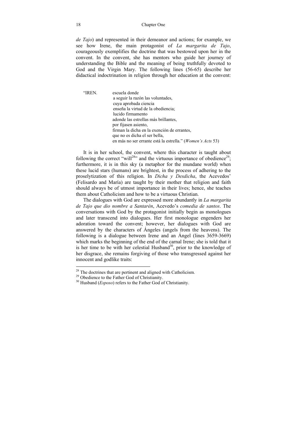*de Tajo*) and represented in their demeanor and actions; for example, we see how Irene, the main protagonist of *La margarita de Tajo*, courageously exemplifies the doctrine that was bestowed upon her in the convent. In the convent, she has mentors who guide her journey of understanding the Bible and the meaning of being truthfully devoted to God and the Virgin Mary. The following lines (56-65) describe her didactical indoctrination in religion through her education at the convent:

"IREN. escuela donde a seguir la razón las voluntades, cuya aprobada ciencia enseña la virtud de la obediencia; lucido firmamento adonde las estrellas más brillantes, por fijasen asiento, firman la dicha en la exención de errantes, que no es dicha el ser bella. en más no ser errante está la estrella." (*Women's Acts* 53)

It is in her school, the convent, where this character is taught about following the correct "will<sup>28</sup>" and the virtuous importance of obedience<sup>29</sup>: furthermore, it is in this sky (a metaphor for the mundane world) when these lucid stars (humans) are brightest, in the process of adhering to the proselytization of this religion. In *Dicha y Desdicha*, the Acevedos' (Felisardo and María) are taught by their mother that religion and faith should always be of utmost importance in their lives; hence, she teaches them about Catholicism and how to be a virtuous Christian.

The dialogues with God are expressed more abundantly in *La margarita de Tajo que dio nombre a Santarén*, Acevedo's *comedia de santos*. The conversations with God by the protagonist initially begin as monologues and later transcend into dialogues. Her first monologue engenders her adoration toward the convent; however, her dialogues with God are answered by the characters of Ángeles (angels from the heavens). The following is a dialogue between Irene and an Ángel (lines 3659-3669) which marks the beginning of the end of the carnal Irene; she is told that it is her time to be with her celestial Husband<sup>30</sup>, prior to the knowledge of her disgrace, she remains forgiving of those who transgressed against her innocent and godlike traits:

 $28$  The doctrines that are pertinent and aligned with Catholicism.

<sup>&</sup>lt;sup>29</sup> Obedience to the Father God of Christianity.

<sup>30</sup> Husband (*Esposo*) refers to the Father God of Christianity.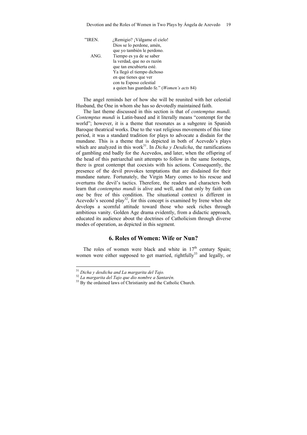"IREN. ¿Remigio? ¡Válgame el cielo! Dios se lo perdone, amén, que yo también le perdono.<br>ANG Tiempo es ya de se saber Tiempo es ya de se saber la verdad, que no es razón que tan encubierta esté. Ya llegó el tiempo dichoso en que tienes que ver con tu Esposo celestial a quien has guardado fe." (*Women's acts* 84)

The angel reminds her of how she will be reunited with her celestial Husband, the One in whom she has so devotedly maintained faith.

The last theme discussed in this section is that of *contemptus mundi. Contemptus mundi* is Latin-based and it literally means "contempt for the world"; however, it is a theme that resonates as a subgenre in Spanish Baroque theatrical works. Due to the vast religious movements of this time period, it was a standard tradition for plays to advocate a disdain for the mundane. This is a theme that is depicted in both of Acevedo's plays which are analyzed in this work<sup>31</sup>. In *Dicha y Desdicha*, the ramifications of gambling end badly for the Acevedos, and later, when the offspring of the head of this patriarchal unit attempts to follow in the same footsteps, there is great contempt that coexists with his actions. Consequently, the presence of the devil provokes temptations that are disdained for their mundane nature. Fortunately, the Virgin Mary comes to his rescue and overturns the devil's tactics. Therefore, the readers and characters both learn that *contemptus mundi* is alive and well, and that only by faith can one be free of this condition. The situational context is different in Acevedo's second play<sup>32</sup>, for this concept is examined by Irene when she develops a scornful attitude toward those who seek riches through ambitious vanity. Golden Age drama evidently, from a didactic approach, educated its audience about the doctrines of Catholicism through diverse modes of operation, as depicted in this segment.

#### **6. Roles of Women: Wife or Nun?**

The roles of women were black and white in  $17<sup>th</sup>$  century Spain; women were either supposed to get married, rightfully<sup>33</sup> and legally, or

 $31$  Dicha y desdicha and La margarita del Taio.

<sup>&</sup>lt;sup>32</sup> *La margarita del Tajo que dio nombre a Santarén.* <sup>33</sup> By the ordained laws of Christianity and the Catholic Church.